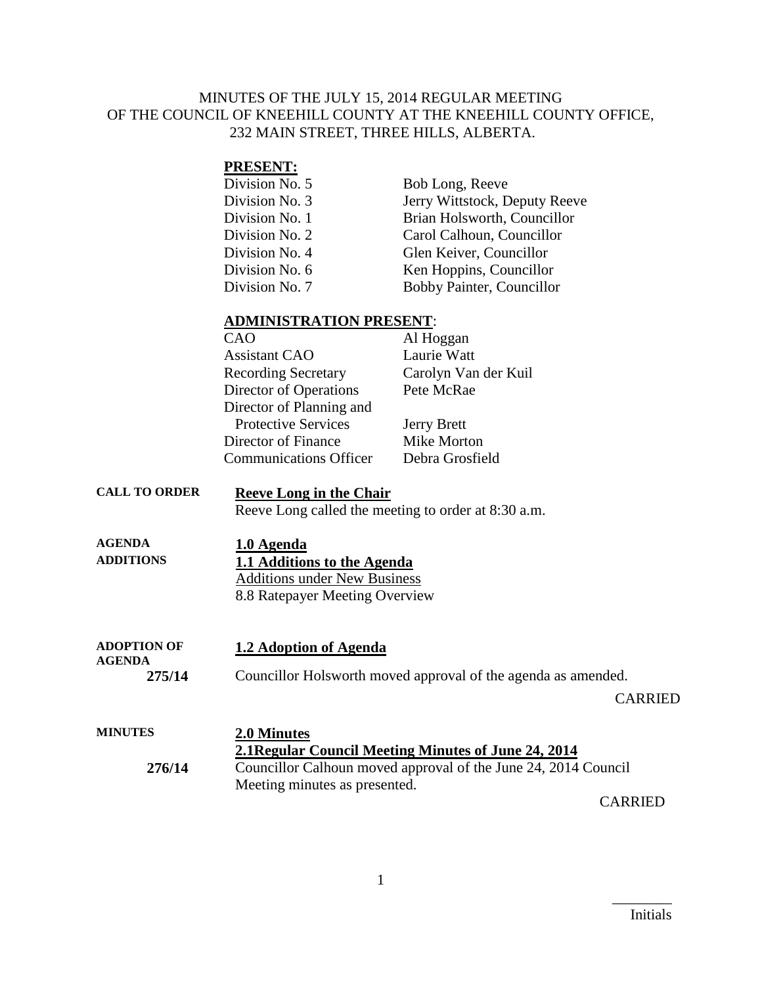### MINUTES OF THE JULY 15, 2014 REGULAR MEETING OF THE COUNCIL OF KNEEHILL COUNTY AT THE KNEEHILL COUNTY OFFICE, 232 MAIN STREET, THREE HILLS, ALBERTA.

### **PRESENT:**

| Division No. 5 | Bob Long, Reeve               |
|----------------|-------------------------------|
| Division No. 3 | Jerry Wittstock, Deputy Reeve |
| Division No. 1 | Brian Holsworth, Councillor   |
| Division No. 2 | Carol Calhoun, Councillor     |
| Division No. 4 | Glen Keiver, Councillor       |
| Division No. 6 | Ken Hoppins, Councillor       |
| Division No. 7 | Bobby Painter, Councillor     |

#### **ADMINISTRATION PRESENT**:

| CAO                           | Al Hoggan            |
|-------------------------------|----------------------|
| <b>Assistant CAO</b>          | Laurie Watt          |
| <b>Recording Secretary</b>    | Carolyn Van der Kuil |
| Director of Operations        | Pete McRae           |
| Director of Planning and      |                      |
| <b>Protective Services</b>    | <b>Jerry Brett</b>   |
| Director of Finance           | Mike Morton          |
| <b>Communications Officer</b> | Debra Grosfield      |

## **CALL TO ORDER Reeve Long in the Chair**

Reeve Long called the meeting to order at 8:30 a.m.

| <b>AGENDA</b>    | 1.0 Agenda                          |  |
|------------------|-------------------------------------|--|
| <b>ADDITIONS</b> | 1.1 Additions to the Agenda         |  |
|                  | <b>Additions under New Business</b> |  |
|                  | 8.8 Ratepayer Meeting Overview      |  |

**ADOPTION OF AGENDA 1.2 Adoption of Agenda 275/14** Councillor Holsworth moved approval of the agenda as amended. CARRIED

| <b>MINUTES</b> | 2.0 Minutes                                                    |
|----------------|----------------------------------------------------------------|
|                | 2.1 Regular Council Meeting Minutes of June 24, 2014           |
| 276/14         | Councillor Calhoun moved approval of the June 24, 2014 Council |
|                | Meeting minutes as presented.                                  |
|                | $\bigcap$ in $\prod$                                           |

CARRIED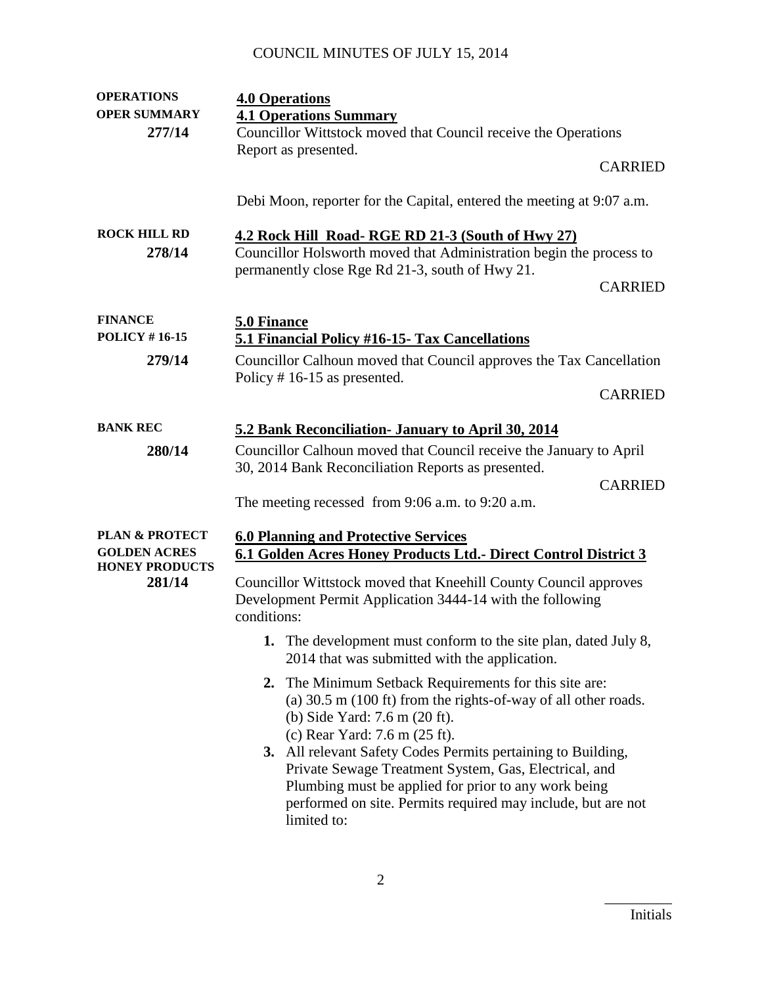| <b>OPERATIONS</b>         | <b>4.0 Operations</b>                                                                                                    |                |
|---------------------------|--------------------------------------------------------------------------------------------------------------------------|----------------|
| <b>OPER SUMMARY</b>       | <b>4.1 Operations Summary</b>                                                                                            |                |
| 277/14                    | Councillor Wittstock moved that Council receive the Operations                                                           |                |
|                           | Report as presented.                                                                                                     |                |
|                           |                                                                                                                          | <b>CARRIED</b> |
|                           |                                                                                                                          |                |
|                           | Debi Moon, reporter for the Capital, entered the meeting at 9:07 a.m.                                                    |                |
| <b>ROCK HILL RD</b>       | 4.2 Rock Hill Road-RGE RD 21-3 (South of Hwy 27)                                                                         |                |
| 278/14                    | Councillor Holsworth moved that Administration begin the process to                                                      |                |
|                           | permanently close Rge Rd 21-3, south of Hwy 21.                                                                          |                |
|                           |                                                                                                                          | <b>CARRIED</b> |
|                           |                                                                                                                          |                |
| <b>FINANCE</b>            | 5.0 Finance                                                                                                              |                |
| <b>POLICY #16-15</b>      | 5.1 Financial Policy #16-15- Tax Cancellations                                                                           |                |
| 279/14                    | Councillor Calhoun moved that Council approves the Tax Cancellation                                                      |                |
|                           | Policy $# 16-15$ as presented.                                                                                           |                |
|                           |                                                                                                                          | <b>CARRIED</b> |
|                           |                                                                                                                          |                |
| <b>BANK REC</b>           | 5.2 Bank Reconciliation- January to April 30, 2014                                                                       |                |
| 280/14                    | Councillor Calhoun moved that Council receive the January to April                                                       |                |
|                           | 30, 2014 Bank Reconciliation Reports as presented.                                                                       |                |
|                           |                                                                                                                          | <b>CARRIED</b> |
|                           | The meeting recessed from $9:06$ a.m. to $9:20$ a.m.                                                                     |                |
| <b>PLAN &amp; PROTECT</b> | <b>6.0 Planning and Protective Services</b>                                                                              |                |
| <b>GOLDEN ACRES</b>       | 6.1 Golden Acres Honey Products Ltd.- Direct Control District 3                                                          |                |
| <b>HONEY PRODUCTS</b>     |                                                                                                                          |                |
| 281/14                    | Councillor Wittstock moved that Kneehill County Council approves                                                         |                |
|                           | Development Permit Application 3444-14 with the following                                                                |                |
|                           | conditions:                                                                                                              |                |
|                           | 1. The development must conform to the site plan, dated July 8,                                                          |                |
|                           | 2014 that was submitted with the application.                                                                            |                |
|                           |                                                                                                                          |                |
|                           | 2. The Minimum Setback Requirements for this site are:<br>(a) 30.5 m (100 ft) from the rights-of-way of all other roads. |                |
|                           | (b) Side Yard: 7.6 m (20 ft).                                                                                            |                |
|                           | (c) Rear Yard: 7.6 m (25 ft).                                                                                            |                |
|                           | 3. All relevant Safety Codes Permits pertaining to Building,                                                             |                |
|                           | Private Sewage Treatment System, Gas, Electrical, and                                                                    |                |
|                           | Plumbing must be applied for prior to any work being                                                                     |                |
|                           | performed on site. Permits required may include, but are not                                                             |                |
|                           | limited to:                                                                                                              |                |
|                           |                                                                                                                          |                |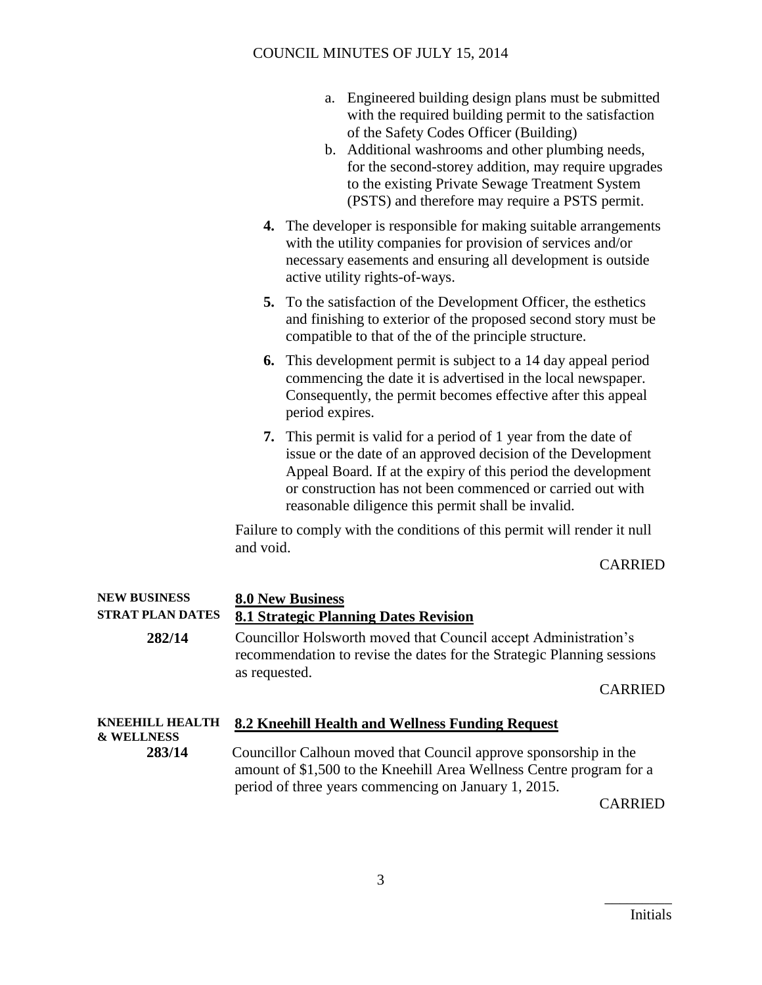- a. Engineered building design plans must be submitted with the required building permit to the satisfaction of the Safety Codes Officer (Building)
- b. Additional washrooms and other plumbing needs, for the second-storey addition, may require upgrades to the existing Private Sewage Treatment System (PSTS) and therefore may require a PSTS permit.
- **4.** The developer is responsible for making suitable arrangements with the utility companies for provision of services and/or necessary easements and ensuring all development is outside active utility rights-of-ways.
- **5.** To the satisfaction of the Development Officer, the esthetics and finishing to exterior of the proposed second story must be compatible to that of the of the principle structure.
- **6.** This development permit is subject to a 14 day appeal period commencing the date it is advertised in the local newspaper. Consequently, the permit becomes effective after this appeal period expires.
- **7.** This permit is valid for a period of 1 year from the date of issue or the date of an approved decision of the Development Appeal Board. If at the expiry of this period the development or construction has not been commenced or carried out with reasonable diligence this permit shall be invalid.

Failure to comply with the conditions of this permit will render it null and void.

#### CARRIED

| <b>NEW BUSINESS</b><br><b>STRAT PLAN DATES</b>  | <b>8.0 New Business</b><br><b>8.1 Strategic Planning Dates Revision</b>                                                                                                                          |
|-------------------------------------------------|--------------------------------------------------------------------------------------------------------------------------------------------------------------------------------------------------|
| 282/14                                          | Councillor Holsworth moved that Council accept Administration's<br>recommendation to revise the dates for the Strategic Planning sessions<br>as requested.                                       |
|                                                 | <b>CARRIED</b>                                                                                                                                                                                   |
| <b>KNEEHILL HEALTH</b><br><b>&amp; WELLNESS</b> | 8.2 Kneehill Health and Wellness Funding Request                                                                                                                                                 |
| 283/14                                          | Councillor Calhoun moved that Council approve sponsorship in the<br>amount of \$1,500 to the Kneehill Area Wellness Centre program for a<br>period of three years commencing on January 1, 2015. |

CARRIED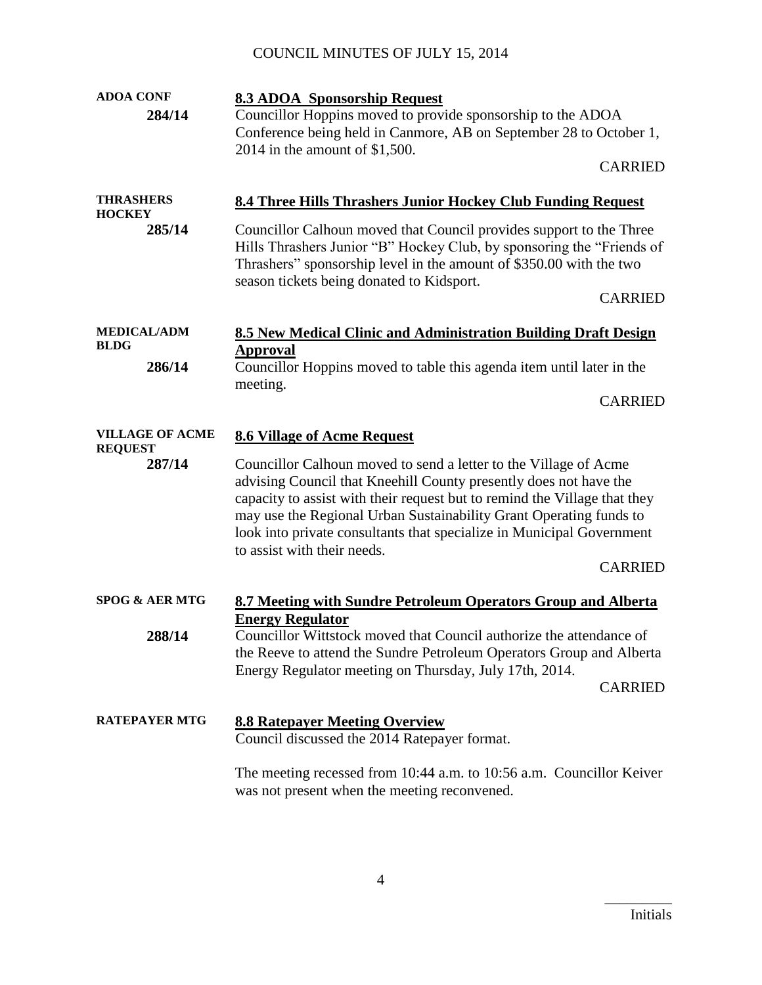| <b>ADOA CONF</b>                         | <b>8.3 ADOA Sponsorship Request</b>                                                                                                                                                                                                                                                                                                                                                                                |
|------------------------------------------|--------------------------------------------------------------------------------------------------------------------------------------------------------------------------------------------------------------------------------------------------------------------------------------------------------------------------------------------------------------------------------------------------------------------|
| 284/14                                   | Councillor Hoppins moved to provide sponsorship to the ADOA<br>Conference being held in Canmore, AB on September 28 to October 1,<br>2014 in the amount of $$1,500$ .                                                                                                                                                                                                                                              |
|                                          | <b>CARRIED</b>                                                                                                                                                                                                                                                                                                                                                                                                     |
| <b>THRASHERS</b><br><b>HOCKEY</b>        | <b>8.4 Three Hills Thrashers Junior Hockey Club Funding Request</b>                                                                                                                                                                                                                                                                                                                                                |
| 285/14                                   | Councillor Calhoun moved that Council provides support to the Three<br>Hills Thrashers Junior "B" Hockey Club, by sponsoring the "Friends of<br>Thrashers" sponsorship level in the amount of \$350.00 with the two<br>season tickets being donated to Kidsport.                                                                                                                                                   |
|                                          | <b>CARRIED</b>                                                                                                                                                                                                                                                                                                                                                                                                     |
| <b>MEDICAL/ADM</b><br><b>BLDG</b>        | 8.5 New Medical Clinic and Administration Building Draft Design<br><b>Approval</b>                                                                                                                                                                                                                                                                                                                                 |
| 286/14                                   | Councillor Hoppins moved to table this agenda item until later in the<br>meeting.                                                                                                                                                                                                                                                                                                                                  |
|                                          | <b>CARRIED</b>                                                                                                                                                                                                                                                                                                                                                                                                     |
| <b>VILLAGE OF ACME</b><br><b>REQUEST</b> | <b>8.6 Village of Acme Request</b>                                                                                                                                                                                                                                                                                                                                                                                 |
| 287/14                                   | Councillor Calhoun moved to send a letter to the Village of Acme<br>advising Council that Kneehill County presently does not have the<br>capacity to assist with their request but to remind the Village that they<br>may use the Regional Urban Sustainability Grant Operating funds to<br>look into private consultants that specialize in Municipal Government<br>to assist with their needs.<br><b>CARRIED</b> |
| <b>SPOG &amp; AER MTG</b>                |                                                                                                                                                                                                                                                                                                                                                                                                                    |
|                                          | 8.7 Meeting with Sundre Petroleum Operators Group and Alberta<br><b>Energy Regulator</b>                                                                                                                                                                                                                                                                                                                           |
| 288/14                                   | Councillor Wittstock moved that Council authorize the attendance of<br>the Reeve to attend the Sundre Petroleum Operators Group and Alberta<br>Energy Regulator meeting on Thursday, July 17th, 2014.<br><b>CARRIED</b>                                                                                                                                                                                            |
| <b>RATEPAYER MTG</b>                     | <b>8.8 Ratepayer Meeting Overview</b><br>Council discussed the 2014 Ratepayer format.                                                                                                                                                                                                                                                                                                                              |
|                                          | The meeting recessed from 10:44 a.m. to 10:56 a.m. Councillor Keiver<br>was not present when the meeting reconvened.                                                                                                                                                                                                                                                                                               |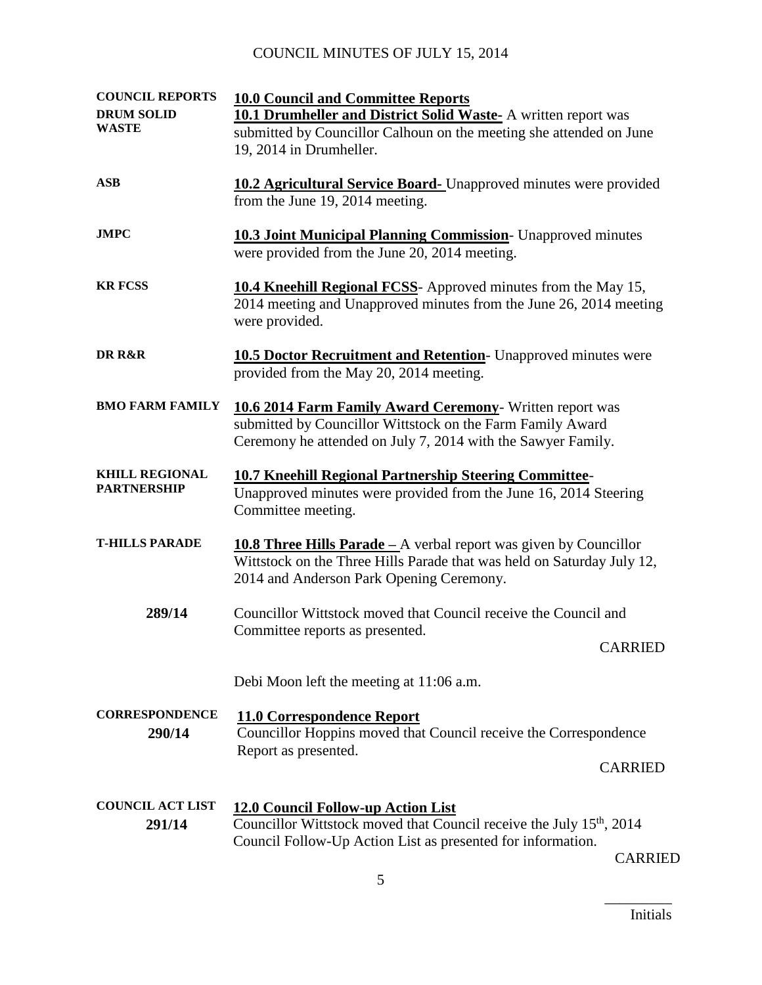| <b>COUNCIL REPORTS</b><br><b>DRUM SOLID</b><br><b>WASTE</b> | <b>10.0 Council and Committee Reports</b><br><b>10.1 Drumheller and District Solid Waste- A written report was</b><br>submitted by Councillor Calhoun on the meeting she attended on June<br>19, 2014 in Drumheller. |
|-------------------------------------------------------------|----------------------------------------------------------------------------------------------------------------------------------------------------------------------------------------------------------------------|
| <b>ASB</b>                                                  | <b>10.2 Agricultural Service Board-</b> Unapproved minutes were provided<br>from the June 19, 2014 meeting.                                                                                                          |
| <b>JMPC</b>                                                 | <b>10.3 Joint Municipal Planning Commission</b> - Unapproved minutes<br>were provided from the June 20, 2014 meeting.                                                                                                |
| <b>KR FCSS</b>                                              | 10.4 Kneehill Regional FCSS- Approved minutes from the May 15,<br>2014 meeting and Unapproved minutes from the June 26, 2014 meeting<br>were provided.                                                               |
| DR R&R                                                      | <b>10.5 Doctor Recruitment and Retention</b> - Unapproved minutes were<br>provided from the May 20, 2014 meeting.                                                                                                    |
| <b>BMO FARM FAMILY</b>                                      | 10.6 2014 Farm Family Award Ceremony- Written report was<br>submitted by Councillor Wittstock on the Farm Family Award<br>Ceremony he attended on July 7, 2014 with the Sawyer Family.                               |
| <b>KHILL REGIONAL</b><br><b>PARTNERSHIP</b>                 | <b>10.7 Kneehill Regional Partnership Steering Committee-</b><br>Unapproved minutes were provided from the June 16, 2014 Steering<br>Committee meeting.                                                              |
| <b>T-HILLS PARADE</b>                                       | <b>10.8 Three Hills Parade</b> – A verbal report was given by Councillor<br>Wittstock on the Three Hills Parade that was held on Saturday July 12,<br>2014 and Anderson Park Opening Ceremony.                       |
| 289/14                                                      | Councillor Wittstock moved that Council receive the Council and<br>Committee reports as presented.<br><b>CARRIED</b>                                                                                                 |
|                                                             | Debi Moon left the meeting at 11:06 a.m.                                                                                                                                                                             |
| <b>CORRESPONDENCE</b><br>290/14                             | <b>11.0 Correspondence Report</b><br>Councillor Hoppins moved that Council receive the Correspondence<br>Report as presented.<br><b>CARRIED</b>                                                                      |
| <b>COUNCIL ACT LIST</b><br>291/14                           | <b>12.0 Council Follow-up Action List</b><br>Councillor Wittstock moved that Council receive the July 15 <sup>th</sup> , 2014<br>Council Follow-Up Action List as presented for information.                         |

CARRIED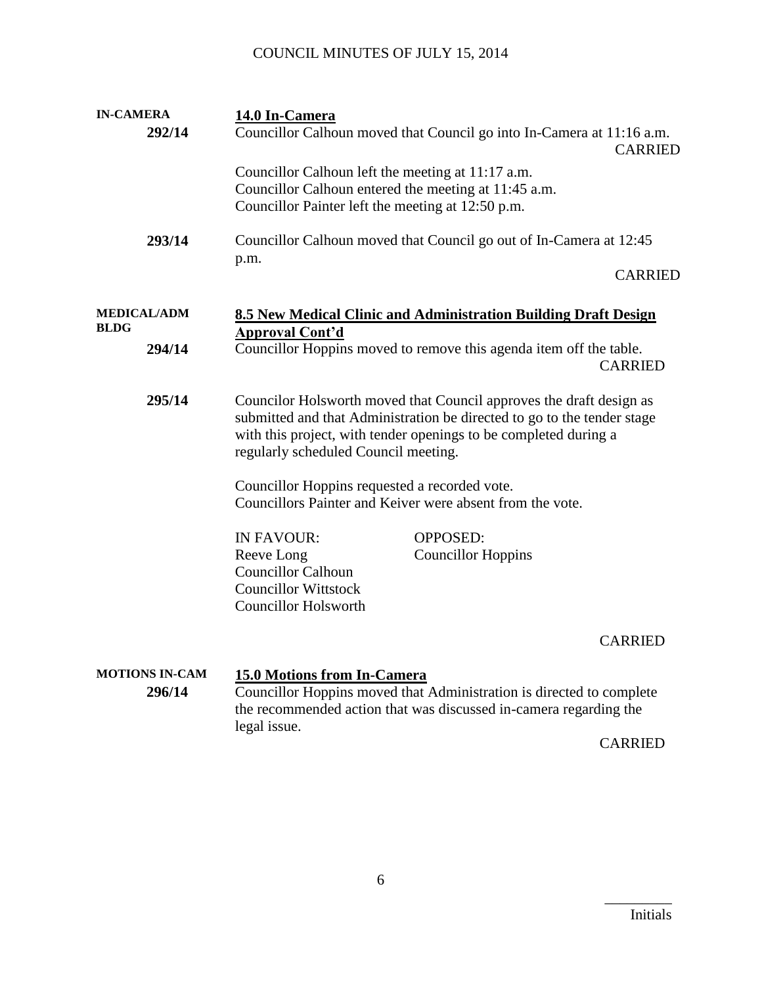| <b>IN-CAMERA</b>                  |  | 14.0 In-Camera                                                                                                                                                                                                                                             |
|-----------------------------------|--|------------------------------------------------------------------------------------------------------------------------------------------------------------------------------------------------------------------------------------------------------------|
| 292/14                            |  | Councillor Calhoun moved that Council go into In-Camera at 11:16 a.m.<br><b>CARRIED</b>                                                                                                                                                                    |
|                                   |  | Councillor Calhoun left the meeting at 11:17 a.m.<br>Councillor Calhoun entered the meeting at 11:45 a.m.<br>Councillor Painter left the meeting at 12:50 p.m.                                                                                             |
| 293/14                            |  | Councillor Calhoun moved that Council go out of In-Camera at 12:45<br>p.m.                                                                                                                                                                                 |
|                                   |  | <b>CARRIED</b>                                                                                                                                                                                                                                             |
| <b>MEDICAL/ADM</b><br><b>BLDG</b> |  | 8.5 New Medical Clinic and Administration Building Draft Design                                                                                                                                                                                            |
| 294/14                            |  | Approval Cont'd<br>Councillor Hoppins moved to remove this agenda item off the table.<br><b>CARRIED</b>                                                                                                                                                    |
| 295/14                            |  | Councilor Holsworth moved that Council approves the draft design as<br>submitted and that Administration be directed to go to the tender stage<br>with this project, with tender openings to be completed during a<br>regularly scheduled Council meeting. |
|                                   |  | Councillor Hoppins requested a recorded vote.<br>Councillors Painter and Keiver were absent from the vote.                                                                                                                                                 |
|                                   |  | <b>IN FAVOUR:</b><br><b>OPPOSED:</b><br>Reeve Long<br><b>Councillor Hoppins</b><br><b>Councillor Calhoun</b><br><b>Councillor Wittstock</b><br><b>Councillor Holsworth</b>                                                                                 |
|                                   |  | <b>CARRIED</b>                                                                                                                                                                                                                                             |
| <b>MOTIONS IN-CAM</b><br>296/14   |  | 15.0 Motions from In-Camera<br>Councillor Hoppins moved that Administration is directed to complete<br>the recommended action that was discussed in-camera regarding the<br>legal issue.<br><b>CARRIED</b>                                                 |